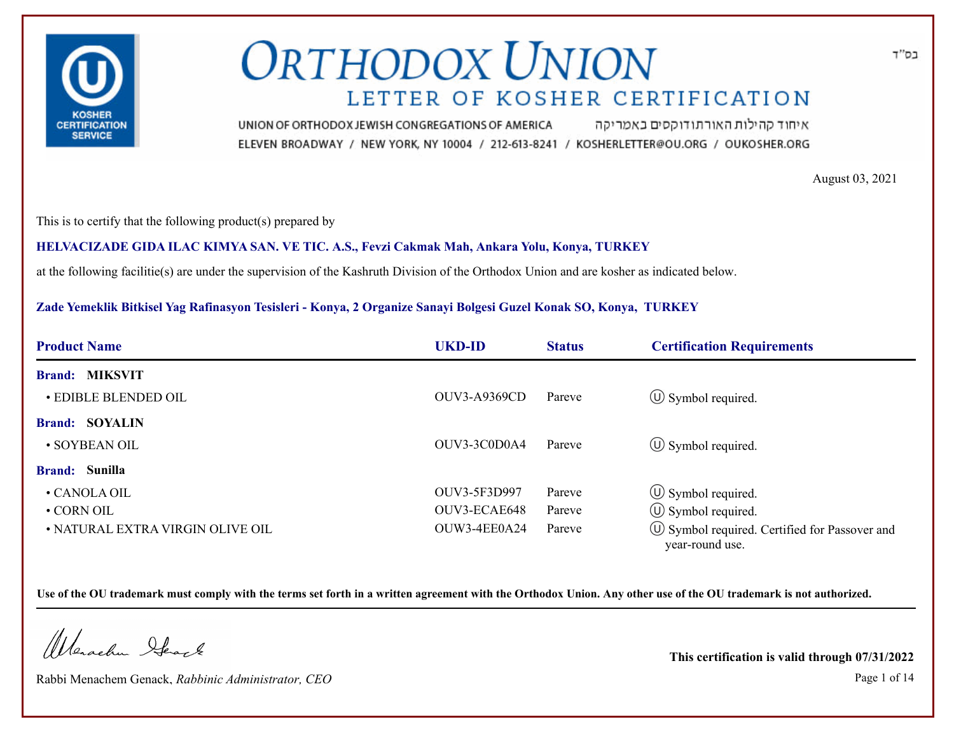

איחוד קהילות האורתודוקסים באמריקה UNION OF ORTHODOX JEWISH CONGREGATIONS OF AMERICA ELEVEN BROADWAY / NEW YORK, NY 10004 / 212-613-8241 / KOSHERLETTER@OU.ORG / OUKOSHER.ORG

August 03, 2021

This is to certify that the following product(s) prepared by

### **HELVACIZADE GIDA ILAC KIMYA SAN. VE TIC. A.S., Fevzi Cakmak Mah, Ankara Yolu, Konya, TURKEY**

at the following facilitie(s) are under the supervision of the Kashruth Division of the Orthodox Union and are kosher as indicated below.

### **Zade Yemeklik Bitkisel Yag Rafinasyon Tesisleri - Konya, 2 Organize Sanayi Bolgesi Guzel Konak SO, Konya, TURKEY**

| <b>Product Name</b>              | <b>UKD-ID</b>       | <b>Status</b> | <b>Certification Requirements</b>                                      |  |  |  |
|----------------------------------|---------------------|---------------|------------------------------------------------------------------------|--|--|--|
| <b>Brand: MIKSVIT</b>            |                     |               |                                                                        |  |  |  |
| <b>• EDIBLE BLENDED OIL</b>      | <b>OUV3-A9369CD</b> | Pareve        | $\circled{1}$ Symbol required.                                         |  |  |  |
| <b>Brand: SOYALIN</b>            |                     |               |                                                                        |  |  |  |
| • SOYBEAN OIL                    | OUV3-3C0D0A4        | Pareve        | $\circ$ Symbol required.                                               |  |  |  |
| <b>Brand:</b> Sunilla            |                     |               |                                                                        |  |  |  |
| • CANOLA OIL                     | OUV3-5F3D997        | Pareve        | $\circled{1}$ Symbol required.                                         |  |  |  |
| • CORN OIL                       | OUV3-ECAE648        | Pareve        | $\circ$ Symbol required.                                               |  |  |  |
| • NATURAL EXTRA VIRGIN OLIVE OIL | OUW3-4EE0A24        | Pareve        | $\circ$ Symbol required. Certified for Passover and<br>year-round use. |  |  |  |

**Use of the OU trademark must comply with the terms set forth in a written agreement with the Orthodox Union. Any other use of the OU trademark is not authorized.**

Werschn Heart

Rabbi Menachem Genack, *Rabbinic Administrator, CEO* Page 1 of 14

**This certification is valid through 07/31/2022**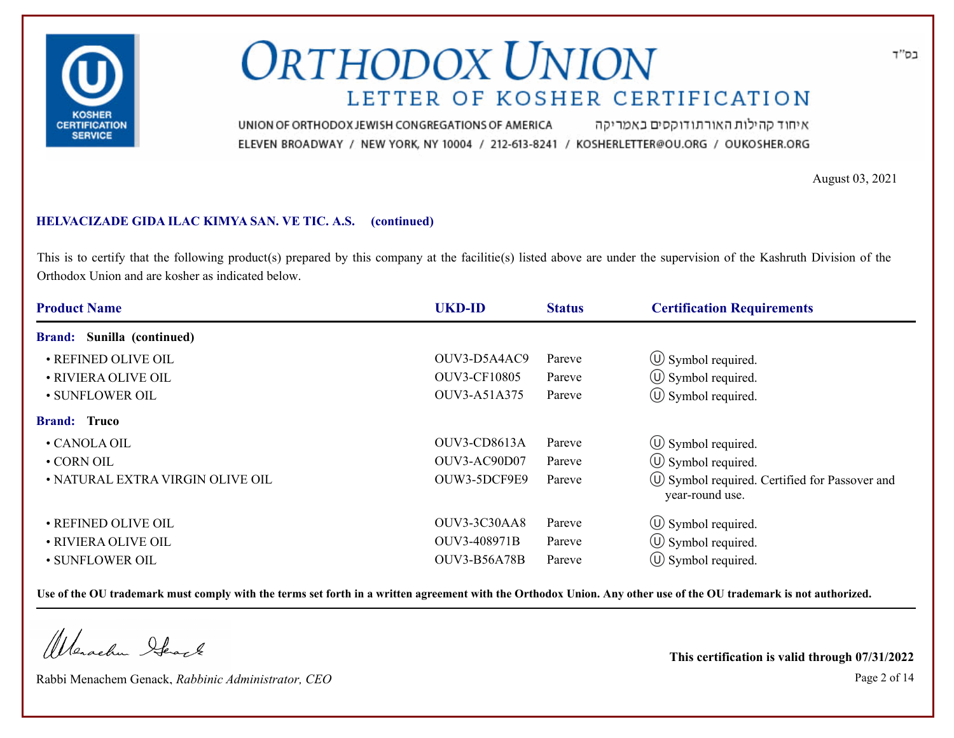

איחוד קהילות האורתודוקסים באמריקה UNION OF ORTHODOX JEWISH CONGREGATIONS OF AMERICA ELEVEN BROADWAY / NEW YORK, NY 10004 / 212-613-8241 / KOSHERLETTER@OU.ORG / OUKOSHER.ORG

August 03, 2021

### **HELVACIZADE GIDA ILAC KIMYA SAN. VE TIC. A.S. (continued)**

This is to certify that the following product(s) prepared by this company at the facilitie(s) listed above are under the supervision of the Kashruth Division of the Orthodox Union and are kosher as indicated below.

| <b>Product Name</b>               | <b>UKD-ID</b>       | <b>Status</b> | <b>Certification Requirements</b>                                      |  |
|-----------------------------------|---------------------|---------------|------------------------------------------------------------------------|--|
| <b>Brand:</b> Sunilla (continued) |                     |               |                                                                        |  |
| • REFINED OLIVE OIL               | OUV3-D5A4AC9        | Pareve        | $\circled{1}$ Symbol required.                                         |  |
| • RIVIERA OLIVE OIL               | <b>OUV3-CF10805</b> | Pareve        | $\circ$ Symbol required.                                               |  |
| · SUNFLOWER OIL                   | OUV3-A51A375        | Pareve        | $\circ$ Symbol required.                                               |  |
| <b>Brand: Truco</b>               |                     |               |                                                                        |  |
| • CANOLA OIL                      | OUV3-CD8613A        | Pareve        | $\circled{1}$ Symbol required.                                         |  |
| • CORN OIL                        | OUV3-AC90D07        | Pareve        | $\circ$ Symbol required.                                               |  |
| • NATURAL EXTRA VIRGIN OLIVE OIL  | OUW3-5DCF9E9        | Pareve        | $\circ$ Symbol required. Certified for Passover and<br>year-round use. |  |
| • REFINED OLIVE OIL               | OUV3-3C30AA8        | Pareve        | $\circled{1}$ Symbol required.                                         |  |
| • RIVIERA OLIVE OIL               | OUV3-408971B        | Pareve        | $\circ$ Symbol required.                                               |  |
| · SUNFLOWER OIL                   | <b>OUV3-B56A78B</b> | Pareve        | $\circ$ Symbol required.                                               |  |

**Use of the OU trademark must comply with the terms set forth in a written agreement with the Orthodox Union. Any other use of the OU trademark is not authorized.**

Werschn Stack

Rabbi Menachem Genack, *Rabbinic Administrator, CEO* Page 2 of 14

**This certification is valid through 07/31/2022**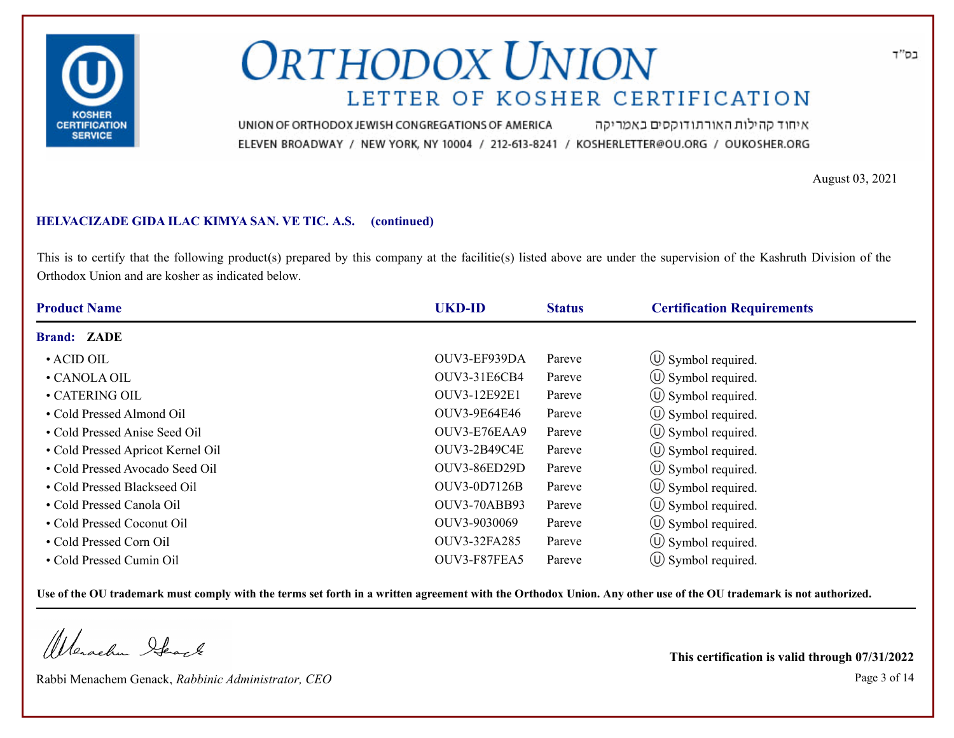

איחוד קהילות האורתודוקסים באמריקה UNION OF ORTHODOX JEWISH CONGREGATIONS OF AMERICA ELEVEN BROADWAY / NEW YORK, NY 10004 / 212-613-8241 / KOSHERLETTER@OU.ORG / OUKOSHER.ORG

August 03, 2021

### **HELVACIZADE GIDA ILAC KIMYA SAN. VE TIC. A.S. (continued)**

This is to certify that the following product(s) prepared by this company at the facilitie(s) listed above are under the supervision of the Kashruth Division of the Orthodox Union and are kosher as indicated below.

| <b>Product Name</b>               | <b>UKD-ID</b>       | <b>Status</b> | <b>Certification Requirements</b> |
|-----------------------------------|---------------------|---------------|-----------------------------------|
| <b>Brand: ZADE</b>                |                     |               |                                   |
| $\cdot$ ACID OIL                  | OUV3-EF939DA        | Pareve        | $\circ$ Symbol required.          |
| • CANOLA OIL                      | <b>OUV3-31E6CB4</b> | Pareve        | $\circ$ Symbol required.          |
| • CATERING OIL                    | OUV3-12E92E1        | Pareve        | $\circ$ Symbol required.          |
| • Cold Pressed Almond Oil         | OUV3-9E64E46        | Pareve        | $\circ$ Symbol required.          |
| • Cold Pressed Anise Seed Oil     | OUV3-E76EAA9        | Pareve        | $\circ$ Symbol required.          |
| • Cold Pressed Apricot Kernel Oil | <b>OUV3-2B49C4E</b> | Pareve        | $(\cup)$ Symbol required.         |
| • Cold Pressed Avocado Seed Oil   | <b>OUV3-86ED29D</b> | Pareve        | (U) Symbol required.              |
| • Cold Pressed Blackseed Oil      | <b>OUV3-0D7126B</b> | Pareve        | (U) Symbol required.              |
| • Cold Pressed Canola Oil         | <b>OUV3-70ABB93</b> | Pareve        | $\circ$ Symbol required.          |
| • Cold Pressed Coconut Oil        | OUV3-9030069        | Pareve        | (U) Symbol required.              |
| • Cold Pressed Corn Oil           | OUV3-32FA285        | Pareve        | $\circled{1}$ Symbol required.    |
| • Cold Pressed Cumin Oil          | OUV3-F87FEA5        | Pareve        | $(\cup)$ Symbol required.         |

**Use of the OU trademark must comply with the terms set forth in a written agreement with the Orthodox Union. Any other use of the OU trademark is not authorized.**

Werschn Stack

Rabbi Menachem Genack, *Rabbinic Administrator, CEO* Page 3 of 14

**This certification is valid through 07/31/2022**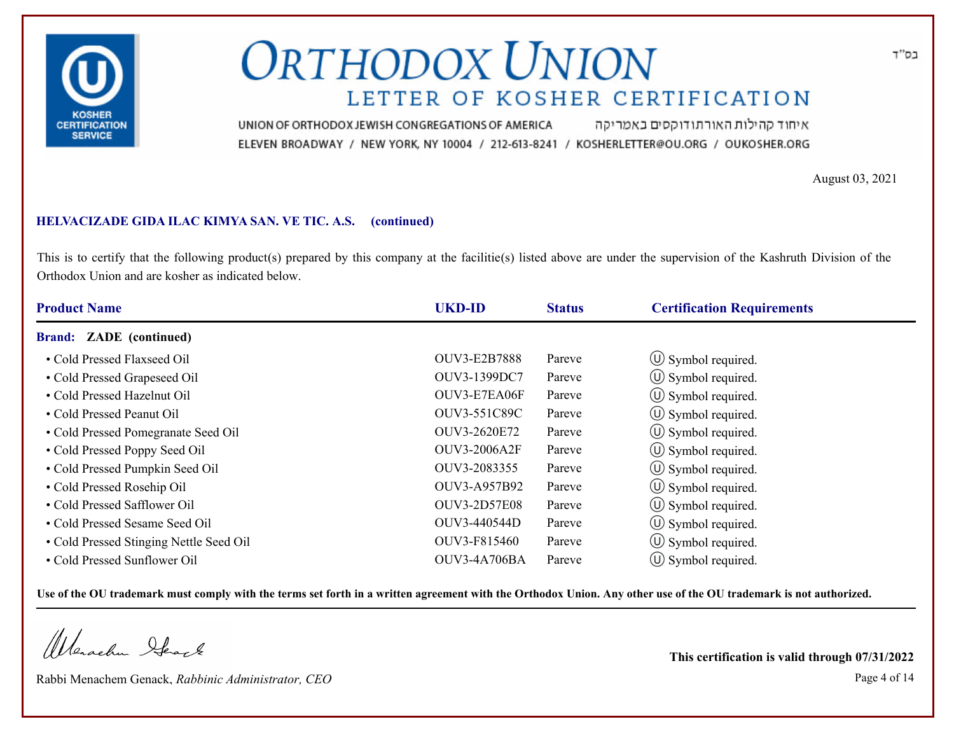

איחוד קהילות האורתודוקסים באמריקה UNION OF ORTHODOX JEWISH CONGREGATIONS OF AMERICA ELEVEN BROADWAY / NEW YORK, NY 10004 / 212-613-8241 / KOSHERLETTER@OU.ORG / OUKOSHER.ORG

August 03, 2021

### **HELVACIZADE GIDA ILAC KIMYA SAN. VE TIC. A.S. (continued)**

This is to certify that the following product(s) prepared by this company at the facilitie(s) listed above are under the supervision of the Kashruth Division of the Orthodox Union and are kosher as indicated below.

| <b>Product Name</b>                     | <b>UKD-ID</b>       | <b>Status</b> | <b>Certification Requirements</b> |
|-----------------------------------------|---------------------|---------------|-----------------------------------|
| <b>Brand: ZADE</b> (continued)          |                     |               |                                   |
| • Cold Pressed Flaxseed Oil             | <b>OUV3-E2B7888</b> | Pareve        | $\circ$ Symbol required.          |
| • Cold Pressed Grapeseed Oil            | OUV3-1399DC7        | Pareve        | $\circ$ Symbol required.          |
| • Cold Pressed Hazelnut Oil             | OUV3-E7EA06F        | Pareve        | $\circ$ Symbol required.          |
| • Cold Pressed Peanut Oil               | OUV3-551C89C        | Pareve        | $\circ$ Symbol required.          |
| • Cold Pressed Pomegranate Seed Oil     | OUV3-2620E72        | Pareve        | $(U)$ Symbol required.            |
| • Cold Pressed Poppy Seed Oil           | <b>OUV3-2006A2F</b> | Pareve        | $\circ$ Symbol required.          |
| • Cold Pressed Pumpkin Seed Oil         | OUV3-2083355        | Pareve        | $\circ$ Symbol required.          |
| • Cold Pressed Rosehip Oil              | OUV3-A957B92        | Pareve        | (U) Symbol required.              |
| • Cold Pressed Safflower Oil            | <b>OUV3-2D57E08</b> | Pareve        | $\circ$ Symbol required.          |
| • Cold Pressed Sesame Seed Oil          | OUV3-440544D        | Pareve        | $\circ$ Symbol required.          |
| • Cold Pressed Stinging Nettle Seed Oil | OUV3-F815460        | Pareve        | $\circ$ Symbol required.          |
| • Cold Pressed Sunflower Oil            | OUV3-4A706BA        | Pareve        | $\cup$ Symbol required.           |

**Use of the OU trademark must comply with the terms set forth in a written agreement with the Orthodox Union. Any other use of the OU trademark is not authorized.**

Werschn Stack

Rabbi Menachem Genack, *Rabbinic Administrator, CEO* Page 4 of 14

**This certification is valid through 07/31/2022**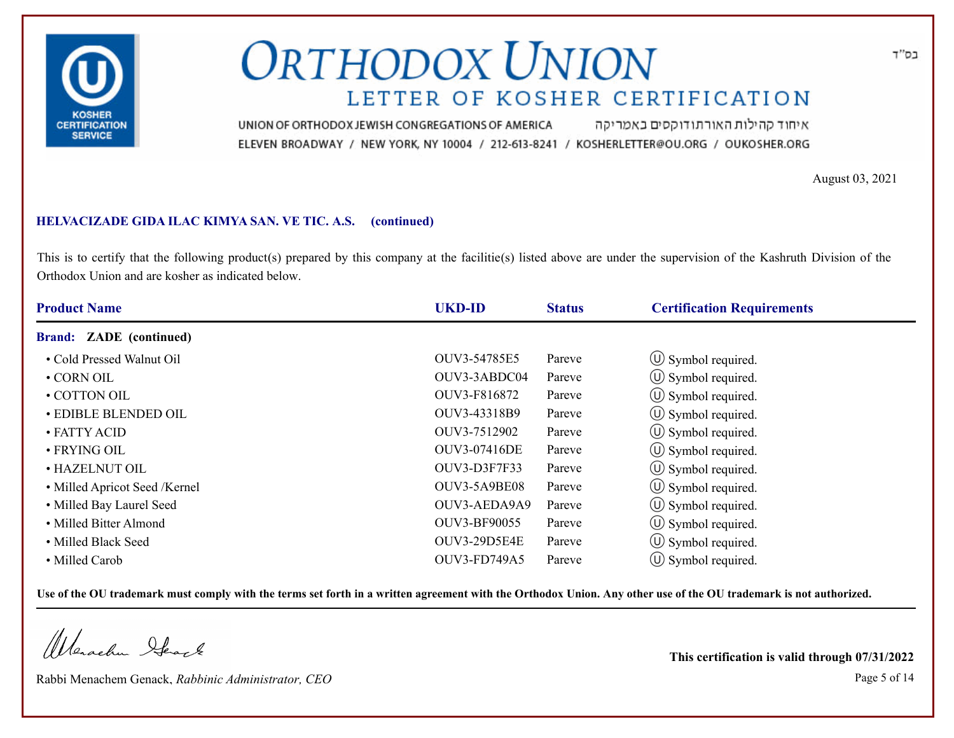

איחוד קהילות האורתודוקסים באמריקה UNION OF ORTHODOX JEWISH CONGREGATIONS OF AMERICA ELEVEN BROADWAY / NEW YORK, NY 10004 / 212-613-8241 / KOSHERLETTER@OU.ORG / OUKOSHER.ORG

August 03, 2021

### **HELVACIZADE GIDA ILAC KIMYA SAN. VE TIC. A.S. (continued)**

This is to certify that the following product(s) prepared by this company at the facilitie(s) listed above are under the supervision of the Kashruth Division of the Orthodox Union and are kosher as indicated below.

| <b>Product Name</b>            | <b>UKD-ID</b> | <b>Status</b> | <b>Certification Requirements</b> |  |
|--------------------------------|---------------|---------------|-----------------------------------|--|
| <b>Brand: ZADE</b> (continued) |               |               |                                   |  |
| • Cold Pressed Walnut Oil      | OUV3-54785E5  | Pareve        | $\circ$ Symbol required.          |  |
| $\cdot$ CORN OIL               | OUV3-3ABDC04  | Pareve        | $\circled{1}$ Symbol required.    |  |
| • COTTON OIL                   | OUV3-F816872  | Pareve        | $\circled{1}$ Symbol required.    |  |
| • EDIBLE BLENDED OIL           | OUV3-43318B9  | Pareve        | $\circ$ Symbol required.          |  |
| • FATTY ACID                   | OUV3-7512902  | Pareve        | $\circ$ Symbol required.          |  |
| $\cdot$ FRYING OIL             | OUV3-07416DE  | Pareve        | (U) Symbol required.              |  |
| • HAZELNUT OIL                 | OUV3-D3F7F33  | Pareve        | (U) Symbol required.              |  |
| • Milled Apricot Seed /Kernel  | OUV3-5A9BE08  | Pareve        | (U) Symbol required.              |  |
| • Milled Bay Laurel Seed       | OUV3-AEDA9A9  | Pareve        | $\circ$ Symbol required.          |  |
| • Milled Bitter Almond         | OUV3-BF90055  | Pareve        | $\circ$ Symbol required.          |  |
| • Milled Black Seed            | OUV3-29D5E4E  | Pareve        | $\circ$ Symbol required.          |  |
| • Milled Carob                 | OUV3-FD749A5  | Pareve        | $\cup$ Symbol required.           |  |

**Use of the OU trademark must comply with the terms set forth in a written agreement with the Orthodox Union. Any other use of the OU trademark is not authorized.**

Werschn Stack

Rabbi Menachem Genack, *Rabbinic Administrator, CEO* Page 5 of 14

**This certification is valid through 07/31/2022**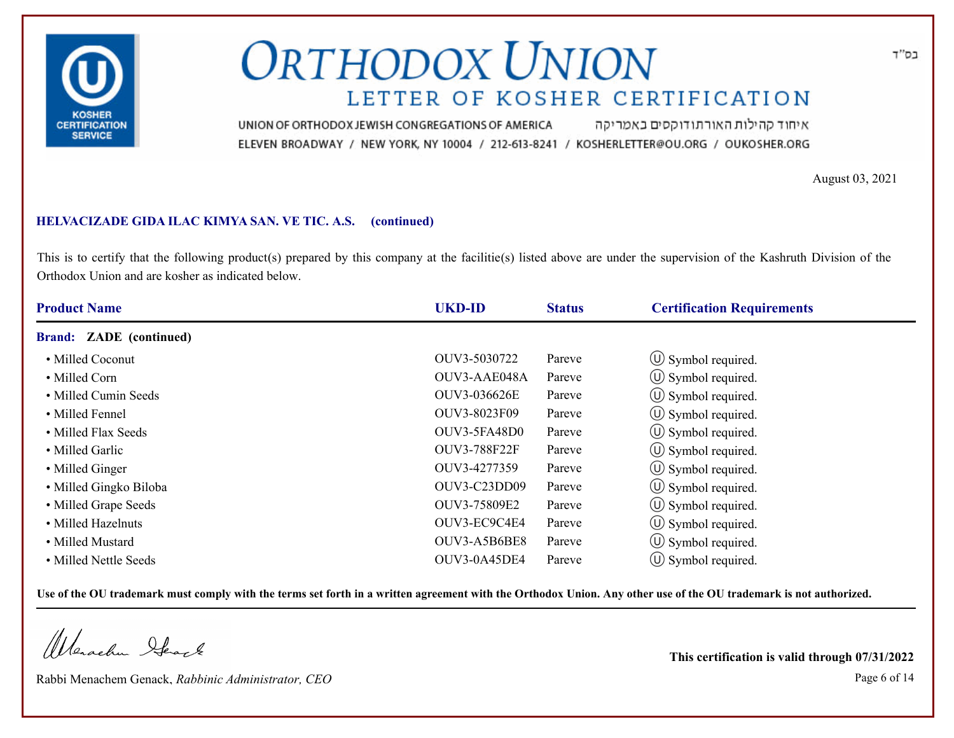

איחוד קהילות האורתודוקסים באמריקה UNION OF ORTHODOX JEWISH CONGREGATIONS OF AMERICA ELEVEN BROADWAY / NEW YORK, NY 10004 / 212-613-8241 / KOSHERLETTER@OU.ORG / OUKOSHER.ORG

August 03, 2021

### **HELVACIZADE GIDA ILAC KIMYA SAN. VE TIC. A.S. (continued)**

This is to certify that the following product(s) prepared by this company at the facilitie(s) listed above are under the supervision of the Kashruth Division of the Orthodox Union and are kosher as indicated below.

| <b>Product Name</b>            | <b>UKD-ID</b> | <b>Status</b> | <b>Certification Requirements</b> |  |
|--------------------------------|---------------|---------------|-----------------------------------|--|
| <b>Brand: ZADE</b> (continued) |               |               |                                   |  |
| • Milled Coconut               | OUV3-5030722  | Pareve        | $\circ$ Symbol required.          |  |
| • Milled Corn                  | OUV3-AAE048A  | Pareve        | $\circ$ Symbol required.          |  |
| • Milled Cumin Seeds           | OUV3-036626E  | Pareve        | $\circled{1}$ Symbol required.    |  |
| • Milled Fennel                | OUV3-8023F09  | Pareve        | $\circ$ Symbol required.          |  |
| • Milled Flax Seeds            | OUV3-5FA48D0  | Pareve        | $\circ$ Symbol required.          |  |
| • Milled Garlic                | OUV3-788F22F  | Pareve        | $\circ$ Symbol required.          |  |
| • Milled Ginger                | OUV3-4277359  | Pareve        | $\circ$ Symbol required.          |  |
| • Milled Gingko Biloba         | OUV3-C23DD09  | Pareve        | $\circled{1}$ Symbol required.    |  |
| • Milled Grape Seeds           | OUV3-75809E2  | Pareve        | $\circ$ Symbol required.          |  |
| • Milled Hazelnuts             | OUV3-EC9C4E4  | Pareve        | $\circ$ Symbol required.          |  |
| • Milled Mustard               | OUV3-A5B6BE8  | Pareve        | $\circ$ Symbol required.          |  |
| • Milled Nettle Seeds          | OUV3-0A45DE4  | Pareve        | $\cup$ Symbol required.           |  |

**Use of the OU trademark must comply with the terms set forth in a written agreement with the Orthodox Union. Any other use of the OU trademark is not authorized.**

Werschn Stack

Rabbi Menachem Genack, *Rabbinic Administrator, CEO* Page 6 of 14

**This certification is valid through 07/31/2022**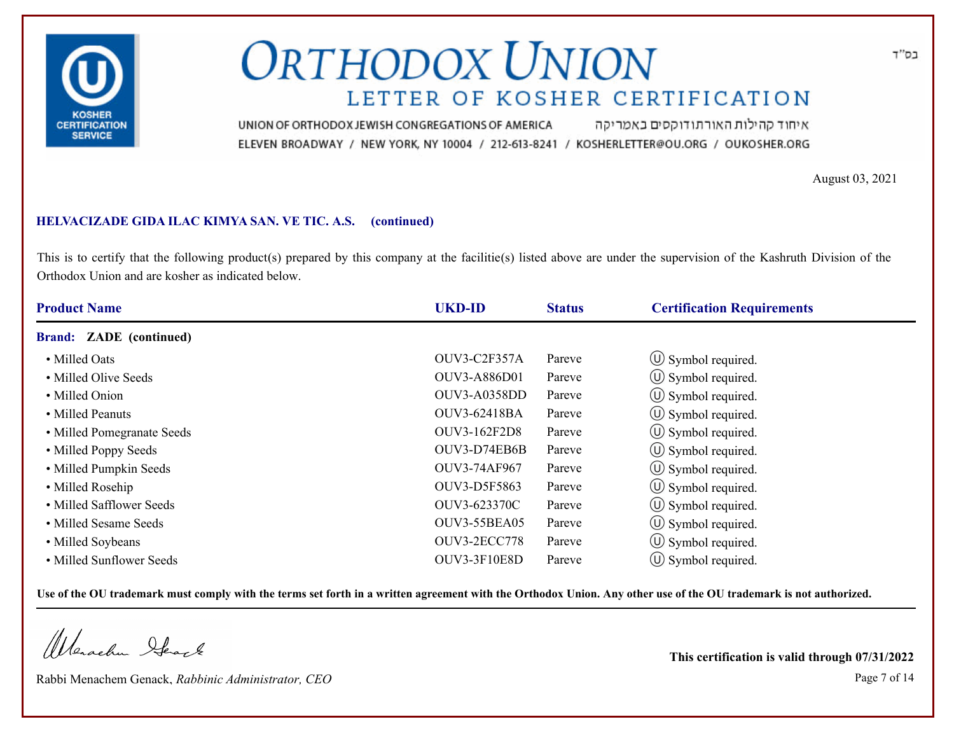

איחוד קהילות האורתודוקסים באמריקה UNION OF ORTHODOX JEWISH CONGREGATIONS OF AMERICA ELEVEN BROADWAY / NEW YORK, NY 10004 / 212-613-8241 / KOSHERLETTER@OU.ORG / OUKOSHER.ORG

August 03, 2021

### **HELVACIZADE GIDA ILAC KIMYA SAN. VE TIC. A.S. (continued)**

This is to certify that the following product(s) prepared by this company at the facilitie(s) listed above are under the supervision of the Kashruth Division of the Orthodox Union and are kosher as indicated below.

| <b>Product Name</b>            | <b>UKD-ID</b>       | <b>Status</b> | <b>Certification Requirements</b> |
|--------------------------------|---------------------|---------------|-----------------------------------|
| <b>Brand: ZADE</b> (continued) |                     |               |                                   |
| • Milled Oats                  | OUV3-C2F357A        | Pareve        | $\circ$ Symbol required.          |
| • Milled Olive Seeds           | OUV3-A886D01        | Pareve        | $\circ$ Symbol required.          |
| • Milled Onion                 | <b>OUV3-A0358DD</b> | Pareve        | $\circ$ Symbol required.          |
| • Milled Peanuts               | OUV3-62418BA        | Pareve        | $\circ$ Symbol required.          |
| • Milled Pomegranate Seeds     | OUV3-162F2D8        | Pareve        | $\circ$ Symbol required.          |
| • Milled Poppy Seeds           | OUV3-D74EB6B        | Pareve        | (U) Symbol required.              |
| • Milled Pumpkin Seeds         | OUV3-74AF967        | Pareve        | $\circ$ Symbol required.          |
| • Milled Rosehip               | OUV3-D5F5863        | Pareve        | (U) Symbol required.              |
| • Milled Safflower Seeds       | OUV3-623370C        | Pareve        | $\circ$ Symbol required.          |
| • Milled Sesame Seeds          | <b>OUV3-55BEA05</b> | Pareve        | (U) Symbol required.              |
| • Milled Soybeans              | <b>OUV3-2ECC778</b> | Pareve        | $\circ$ Symbol required.          |
| • Milled Sunflower Seeds       | <b>OUV3-3F10E8D</b> | Pareve        | $\circ$ Symbol required.          |

**Use of the OU trademark must comply with the terms set forth in a written agreement with the Orthodox Union. Any other use of the OU trademark is not authorized.**

Werschn Stack

Rabbi Menachem Genack, *Rabbinic Administrator, CEO* Page 7 of 14

**This certification is valid through 07/31/2022**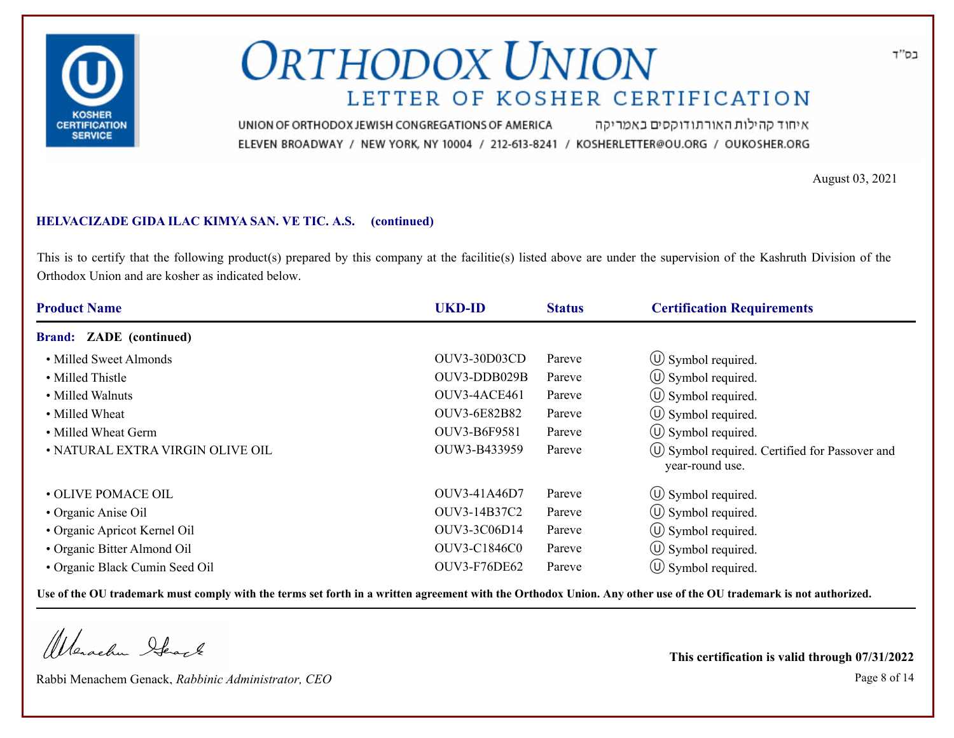

איחוד קהילות האורתודוקסים באמריקה UNION OF ORTHODOX JEWISH CONGREGATIONS OF AMERICA ELEVEN BROADWAY / NEW YORK, NY 10004 / 212-613-8241 / KOSHERLETTER@OU.ORG / OUKOSHER.ORG

August 03, 2021

### **HELVACIZADE GIDA ILAC KIMYA SAN. VE TIC. A.S. (continued)**

This is to certify that the following product(s) prepared by this company at the facilitie(s) listed above are under the supervision of the Kashruth Division of the Orthodox Union and are kosher as indicated below.

| <b>Product Name</b>              | <b>UKD-ID</b> | <b>Status</b> | <b>Certification Requirements</b>                                  |  |
|----------------------------------|---------------|---------------|--------------------------------------------------------------------|--|
| <b>Brand: ZADE</b> (continued)   |               |               |                                                                    |  |
| • Milled Sweet Almonds           | OUV3-30D03CD  | Pareve        | $\circ$ Symbol required.                                           |  |
| • Milled Thistle                 | OUV3-DDB029B  | Pareve        | $\circ$ Symbol required.                                           |  |
| • Milled Walnuts                 | OUV3-4ACE461  | Pareve        | $\circ$ Symbol required.                                           |  |
| • Milled Wheat                   | OUV3-6E82B82  | Pareve        | $\circ$ Symbol required.                                           |  |
| • Milled Wheat Germ              | OUV3-B6F9581  | Pareve        | $\circ$ Symbol required.                                           |  |
| • NATURAL EXTRA VIRGIN OLIVE OIL | OUW3-B433959  | Pareve        | (U) Symbol required. Certified for Passover and<br>year-round use. |  |
| • OLIVE POMACE OIL               | OUV3-41A46D7  | Pareve        | $\circ$ Symbol required.                                           |  |
| • Organic Anise Oil              | OUV3-14B37C2  | Pareve        | $\circ$ Symbol required.                                           |  |
| • Organic Apricot Kernel Oil     | OUV3-3C06D14  | Pareve        | $\cup$ Symbol required.                                            |  |
| • Organic Bitter Almond Oil      | OUV3-C1846C0  | Pareve        | $\left(\bigcup$ Symbol required.                                   |  |
| • Organic Black Cumin Seed Oil   | OUV3-F76DE62  | Pareve        | $\circ$ Symbol required.                                           |  |

**Use of the OU trademark must comply with the terms set forth in a written agreement with the Orthodox Union. Any other use of the OU trademark is not authorized.**

Werschn Stack

Rabbi Menachem Genack, *Rabbinic Administrator, CEO* Page 8 of 14

**This certification is valid through 07/31/2022**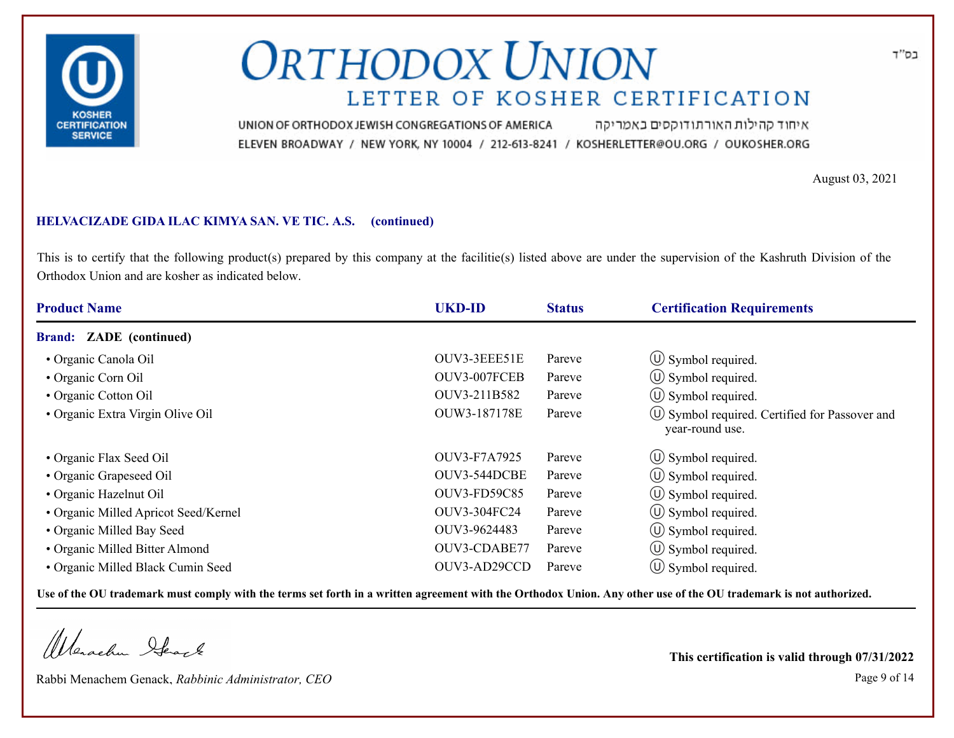

איחוד קהילות האורתודוקסים באמריקה UNION OF ORTHODOX JEWISH CONGREGATIONS OF AMERICA ELEVEN BROADWAY / NEW YORK, NY 10004 / 212-613-8241 / KOSHERLETTER@OU.ORG / OUKOSHER.ORG

August 03, 2021

### **HELVACIZADE GIDA ILAC KIMYA SAN. VE TIC. A.S. (continued)**

This is to certify that the following product(s) prepared by this company at the facilitie(s) listed above are under the supervision of the Kashruth Division of the Orthodox Union and are kosher as indicated below.

| <b>Product Name</b>                  | <b>UKD-ID</b>       | <b>Status</b> | <b>Certification Requirements</b>                                      |  |
|--------------------------------------|---------------------|---------------|------------------------------------------------------------------------|--|
| <b>Brand: ZADE</b> (continued)       |                     |               |                                                                        |  |
| • Organic Canola Oil                 | OUV3-3EEE51E        | Pareve        | $\circ$ Symbol required.                                               |  |
| • Organic Corn Oil                   | OUV3-007FCEB        | Pareve        | $\circ$ Symbol required.                                               |  |
| • Organic Cotton Oil                 | OUV3-211B582        | Pareve        | $\circ$ Symbol required.                                               |  |
| • Organic Extra Virgin Olive Oil     | OUW3-187178E        | Pareve        | $\circ$ Symbol required. Certified for Passover and<br>year-round use. |  |
| • Organic Flax Seed Oil              | OUV3-F7A7925        | Pareve        | $\circled{1}$ Symbol required.                                         |  |
| • Organic Grapeseed Oil              | OUV3-544DCBE        | Pareve        | $\circ$ Symbol required.                                               |  |
| • Organic Hazelnut Oil               | <b>OUV3-FD59C85</b> | Pareve        | $\circ$ Symbol required.                                               |  |
| • Organic Milled Apricot Seed/Kernel | OUV3-304FC24        | Pareve        | $\circ$ Symbol required.                                               |  |
| • Organic Milled Bay Seed            | OUV3-9624483        | Pareve        | $\cup$ Symbol required.                                                |  |
| • Organic Milled Bitter Almond       | OUV3-CDABE77        | Pareve        | $\left(\bigcup$ Symbol required.                                       |  |
| • Organic Milled Black Cumin Seed    | OUV3-AD29CCD        | Pareve        | $\circ$ Symbol required.                                               |  |

**Use of the OU trademark must comply with the terms set forth in a written agreement with the Orthodox Union. Any other use of the OU trademark is not authorized.**

Werschn Stack

Rabbi Menachem Genack, *Rabbinic Administrator, CEO* Page 9 of 14

**This certification is valid through 07/31/2022**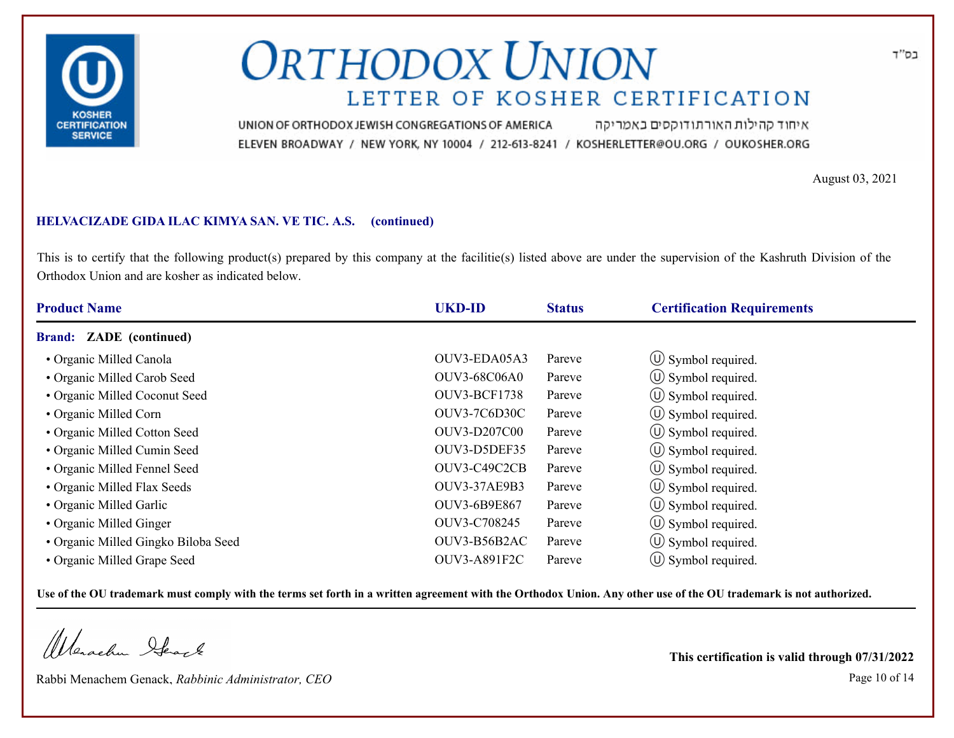

איחוד קהילות האורתודוקסים באמריקה UNION OF ORTHODOX JEWISH CONGREGATIONS OF AMERICA ELEVEN BROADWAY / NEW YORK, NY 10004 / 212-613-8241 / KOSHERLETTER@OU.ORG / OUKOSHER.ORG

August 03, 2021

### **HELVACIZADE GIDA ILAC KIMYA SAN. VE TIC. A.S. (continued)**

This is to certify that the following product(s) prepared by this company at the facilitie(s) listed above are under the supervision of the Kashruth Division of the Orthodox Union and are kosher as indicated below.

| <b>Product Name</b>                 | <b>UKD-ID</b>       | <b>Status</b> | <b>Certification Requirements</b> |
|-------------------------------------|---------------------|---------------|-----------------------------------|
| <b>Brand: ZADE</b> (continued)      |                     |               |                                   |
| • Organic Milled Canola             | OUV3-EDA05A3        | Pareve        | $\circ$ Symbol required.          |
| • Organic Milled Carob Seed         | <b>OUV3-68C06A0</b> | Pareve        | $\circ$ Symbol required.          |
| • Organic Milled Coconut Seed       | <b>OUV3-BCF1738</b> | Pareve        | $\circ$ Symbol required.          |
| • Organic Milled Corn               | <b>OUV3-7C6D30C</b> | Pareve        | $\circ$ Symbol required.          |
| • Organic Milled Cotton Seed        | <b>OUV3-D207C00</b> | Pareve        | $(U)$ Symbol required.            |
| • Organic Milled Cumin Seed         | OUV3-D5DEF35        | Pareve        | $\circ$ Symbol required.          |
| • Organic Milled Fennel Seed        | OUV3-C49C2CB        | Pareve        | $\circ$ Symbol required.          |
| • Organic Milled Flax Seeds         | <b>OUV3-37AE9B3</b> | Pareve        | (U) Symbol required.              |
| • Organic Milled Garlic             | OUV3-6B9E867        | Pareve        | $\circ$ Symbol required.          |
| • Organic Milled Ginger             | OUV3-C708245        | Pareve        | $\circled{0}$ Symbol required.    |
| • Organic Milled Gingko Biloba Seed | OUV3-B56B2AC        | Pareve        | $\circled{1}$ Symbol required.    |
| • Organic Milled Grape Seed         | OUV3-A891F2C        | Pareve        | $\cup$ Symbol required.           |

**Use of the OU trademark must comply with the terms set forth in a written agreement with the Orthodox Union. Any other use of the OU trademark is not authorized.**

Werachen Stack

Rabbi Menachem Genack, *Rabbinic Administrator, CEO* Page 10 of 14

**This certification is valid through 07/31/2022**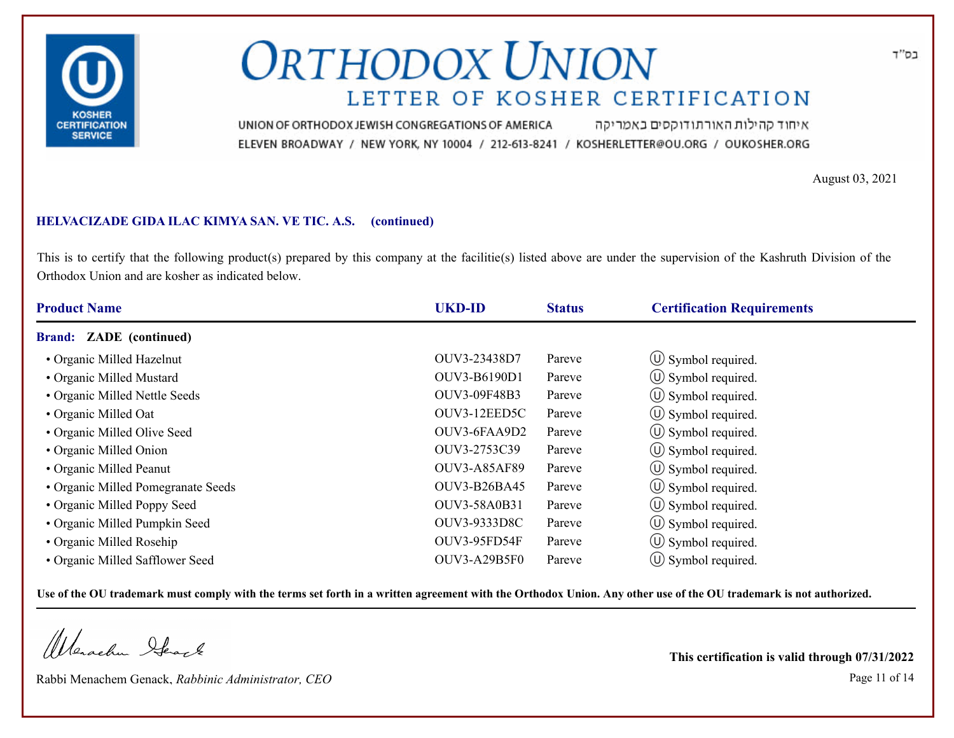

איחוד קהילות האורתודוקסים באמריקה UNION OF ORTHODOX JEWISH CONGREGATIONS OF AMERICA ELEVEN BROADWAY / NEW YORK, NY 10004 / 212-613-8241 / KOSHERLETTER@OU.ORG / OUKOSHER.ORG

August 03, 2021

### **HELVACIZADE GIDA ILAC KIMYA SAN. VE TIC. A.S. (continued)**

This is to certify that the following product(s) prepared by this company at the facilitie(s) listed above are under the supervision of the Kashruth Division of the Orthodox Union and are kosher as indicated below.

| <b>Product Name</b>                | <b>UKD-ID</b>       | <b>Status</b> | <b>Certification Requirements</b> |  |
|------------------------------------|---------------------|---------------|-----------------------------------|--|
| <b>Brand: ZADE</b> (continued)     |                     |               |                                   |  |
| • Organic Milled Hazelnut          | OUV3-23438D7        | Pareve        | $\circ$ Symbol required.          |  |
| • Organic Milled Mustard           | OUV3-B6190D1        | Pareve        | $\circ$ Symbol required.          |  |
| • Organic Milled Nettle Seeds      | OUV3-09F48B3        | Pareve        | $\circled{1}$ Symbol required.    |  |
| • Organic Milled Oat               | OUV3-12EED5C        | Pareve        | $\circ$ Symbol required.          |  |
| • Organic Milled Olive Seed        | OUV3-6FAA9D2        | Pareve        | $\circ$ Symbol required.          |  |
| • Organic Milled Onion             | OUV3-2753C39        | Pareve        | $(\cup)$ Symbol required.         |  |
| • Organic Milled Peanut            | <b>OUV3-A85AF89</b> | Pareve        | $\circ$ Symbol required.          |  |
| • Organic Milled Pomegranate Seeds | <b>OUV3-B26BA45</b> | Pareve        | (U) Symbol required.              |  |
| • Organic Milled Poppy Seed        | OUV3-58A0B31        | Pareve        | $\circ$ Symbol required.          |  |
| • Organic Milled Pumpkin Seed      | OUV3-9333D8C        | Pareve        | $\left(\bigcup$ Symbol required.  |  |
| • Organic Milled Rosehip           | OUV3-95FD54F        | Pareve        | $\circ$ Symbol required.          |  |
| • Organic Milled Safflower Seed    | OUV3-A29B5F0        | Pareve        | $\cup$ Symbol required.           |  |

**Use of the OU trademark must comply with the terms set forth in a written agreement with the Orthodox Union. Any other use of the OU trademark is not authorized.**

Werschn Heart

Rabbi Menachem Genack, *Rabbinic Administrator, CEO* Page 11 of 14

**This certification is valid through 07/31/2022**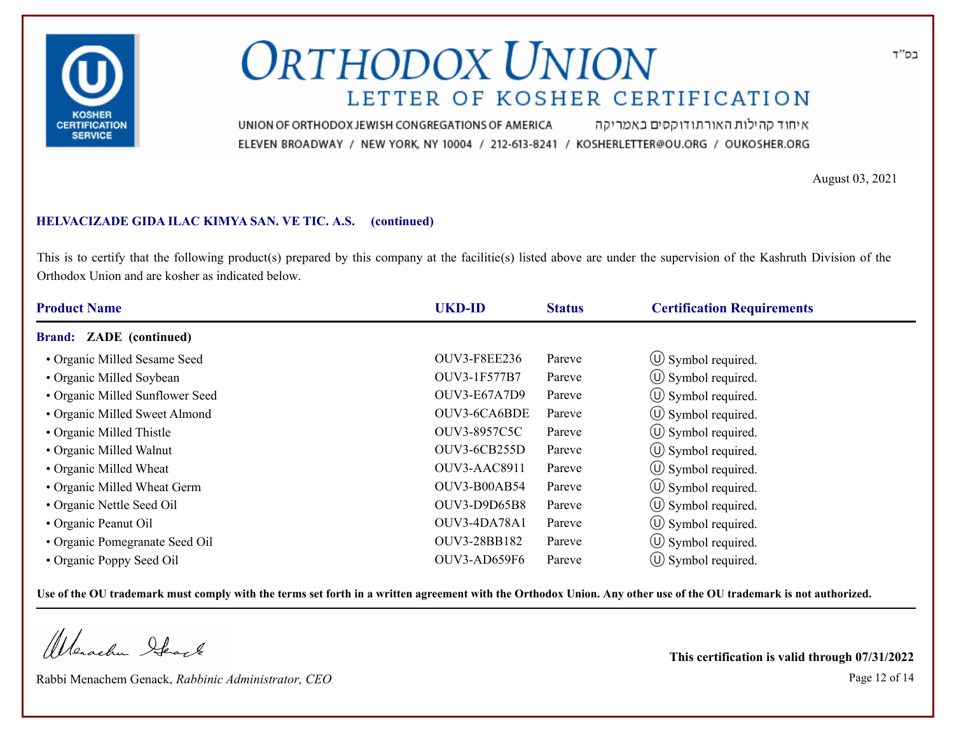

איחוד קהילות האורתודוקסים באמריקה UNION OF ORTHODOX JEWISH CONGREGATIONS OF AMERICA ELEVEN BROADWAY / NEW YORK, NY 10004 / 212-613-8241 / KOSHERLETTER@OU.ORG / OUKOSHER.ORG

August 03, 2021

### **HELVACIZADE GIDA ILAC KIMYA SAN. VE TIC. A.S. (continued)**

This is to certify that the following product(s) prepared by this company at the facilitie(s) listed above are under the supervision of the Kashruth Division of the Orthodox Union and are kosher as indicated below.

| <b>Product Name</b>             | <b>UKD-ID</b>       | <b>Status</b> | <b>Certification Requirements</b> |
|---------------------------------|---------------------|---------------|-----------------------------------|
| <b>Brand: ZADE</b> (continued)  |                     |               |                                   |
| • Organic Milled Sesame Seed    | <b>OUV3-F8EE236</b> | Pareve        | $\circ$ Symbol required.          |
| • Organic Milled Soybean        | OUV3-1F577B7        | Pareve        | $\circ$ Symbol required.          |
| • Organic Milled Sunflower Seed | <b>OUV3-E67A7D9</b> | Pareve        | (U) Symbol required.              |
| • Organic Milled Sweet Almond   | OUV3-6CA6BDE        | Pareve        | $\circ$ Symbol required.          |
| • Organic Milled Thistle        | OUV3-8957C5C        | Pareve        | $\circ$ Symbol required.          |
| • Organic Milled Walnut         | <b>OUV3-6CB255D</b> | Pareve        | $\circ$ Symbol required.          |
| • Organic Milled Wheat          | OUV3-AAC8911        | Pareve        | $\circ$ Symbol required.          |
| • Organic Milled Wheat Germ     | OUV3-B00AB54        | Pareve        | $\circ$ Symbol required.          |
| • Organic Nettle Seed Oil       | OUV3-D9D65B8        | Pareve        | $\circ$ Symbol required.          |
| • Organic Peanut Oil            | OUV3-4DA78A1        | Pareve        | $\circ$ Symbol required.          |
| • Organic Pomegranate Seed Oil  | OUV3-28BB182        | Pareve        | (U) Symbol required.              |
| • Organic Poppy Seed Oil        | OUV3-AD659F6        | Pareve        | $(\cup)$ Symbol required.         |

**Use of the OU trademark must comply with the terms set forth in a written agreement with the Orthodox Union. Any other use of the OU trademark is not authorized.**

Werschn Heart

Rabbi Menachem Genack, *Rabbinic Administrator, CEO* Page 12 of 14

**This certification is valid through 07/31/2022**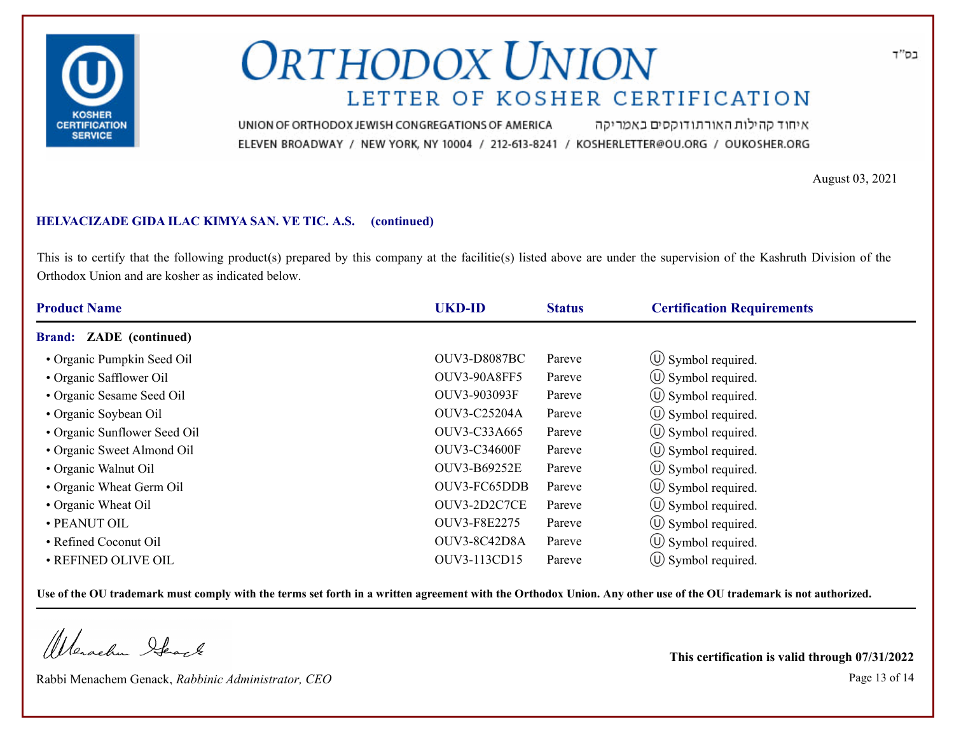

איחוד קהילות האורתודוקסים באמריקה UNION OF ORTHODOX JEWISH CONGREGATIONS OF AMERICA ELEVEN BROADWAY / NEW YORK, NY 10004 / 212-613-8241 / KOSHERLETTER@OU.ORG / OUKOSHER.ORG

August 03, 2021

### **HELVACIZADE GIDA ILAC KIMYA SAN. VE TIC. A.S. (continued)**

This is to certify that the following product(s) prepared by this company at the facilitie(s) listed above are under the supervision of the Kashruth Division of the Orthodox Union and are kosher as indicated below.

| <b>Product Name</b>            | <b>UKD-ID</b>       | <b>Status</b> | <b>Certification Requirements</b> |  |
|--------------------------------|---------------------|---------------|-----------------------------------|--|
| <b>Brand: ZADE</b> (continued) |                     |               |                                   |  |
| • Organic Pumpkin Seed Oil     | <b>OUV3-D8087BC</b> | Pareve        | $\circ$ Symbol required.          |  |
| • Organic Safflower Oil        | <b>OUV3-90A8FF5</b> | Pareve        | $\circled{0}$ Symbol required.    |  |
| • Organic Sesame Seed Oil      | OUV3-903093F        | Pareve        | $\circled{1}$ Symbol required.    |  |
| • Organic Soybean Oil          | OUV3-C25204A        | Pareve        | $\circ$ Symbol required.          |  |
| • Organic Sunflower Seed Oil   | OUV3-C33A665        | Pareve        | $\circ$ Symbol required.          |  |
| • Organic Sweet Almond Oil     | <b>OUV3-C34600F</b> | Pareve        | $\circ$ Symbol required.          |  |
| • Organic Walnut Oil           | OUV3-B69252E        | Pareve        | $\circ$ Symbol required.          |  |
| • Organic Wheat Germ Oil       | OUV3-FC65DDB        | Pareve        | (U) Symbol required.              |  |
| • Organic Wheat Oil            | OUV3-2D2C7CE        | Pareve        | $\circ$ Symbol required.          |  |
| • PEANUT OIL                   | OUV3-F8E2275        | Pareve        | $\circ$ Symbol required.          |  |
| • Refined Coconut Oil          | OUV3-8C42D8A        | Pareve        | $\circ$ Symbol required.          |  |
| • REFINED OLIVE OIL            | OUV3-113CD15        | Pareve        | $\cup$ Symbol required.           |  |

**Use of the OU trademark must comply with the terms set forth in a written agreement with the Orthodox Union. Any other use of the OU trademark is not authorized.**

Werschn Stack

Rabbi Menachem Genack, *Rabbinic Administrator, CEO* Page 13 of 14

**This certification is valid through 07/31/2022**